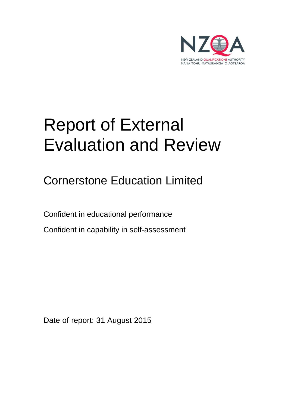

# Report of External Evaluation and Review

Cornerstone Education Limited

Confident in educational performance

Confident in capability in self-assessment

Date of report: 31 August 2015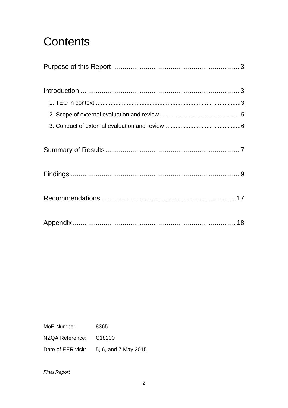## **Contents**

MoE Number: 8365 NZQA Reference: C18200

Date of EER visit: 5, 6, and 7 May 2015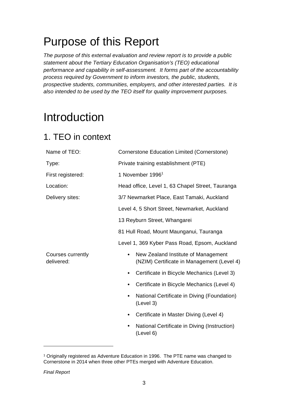## Purpose of this Report

The purpose of this external evaluation and review report is to provide a public statement about the Tertiary Education Organisation's (TEO) educational performance and capability in self-assessment. It forms part of the accountability process required by Government to inform investors, the public, students, prospective students, communities, employers, and other interested parties. It is also intended to be used by the TEO itself for quality improvement purposes.

## Introduction

## 1. TEO in context

| Name of TEO:                    | Cornerstone Education Limited (Cornerstone)                                                    |  |  |  |  |
|---------------------------------|------------------------------------------------------------------------------------------------|--|--|--|--|
| Type:                           | Private training establishment (PTE)                                                           |  |  |  |  |
| First registered:               | 1 November 1996 <sup>1</sup>                                                                   |  |  |  |  |
| Location:                       | Head office, Level 1, 63 Chapel Street, Tauranga                                               |  |  |  |  |
| Delivery sites:                 | 3/7 Newmarket Place, East Tamaki, Auckland                                                     |  |  |  |  |
|                                 | Level 4, 5 Short Street, Newmarket, Auckland                                                   |  |  |  |  |
|                                 | 13 Reyburn Street, Whangarei                                                                   |  |  |  |  |
|                                 | 81 Hull Road, Mount Maunganui, Tauranga                                                        |  |  |  |  |
|                                 | Level 1, 369 Kyber Pass Road, Epsom, Auckland                                                  |  |  |  |  |
| Courses currently<br>delivered: | New Zealand Institute of Management<br>$\bullet$<br>(NZIM) Certificate in Management (Level 4) |  |  |  |  |
|                                 | Certificate in Bicycle Mechanics (Level 3)<br>$\bullet$                                        |  |  |  |  |
|                                 | Certificate in Bicycle Mechanics (Level 4)                                                     |  |  |  |  |
|                                 | National Certificate in Diving (Foundation)<br>(Level 3)                                       |  |  |  |  |
|                                 | Certificate in Master Diving (Level 4)                                                         |  |  |  |  |
|                                 | National Certificate in Diving (Instruction)<br>(Level 6)                                      |  |  |  |  |
|                                 |                                                                                                |  |  |  |  |

<sup>1</sup> Originally registered as Adventure Education in 1996. The PTE name was changed to Cornerstone in 2014 when three other PTEs merged with Adventure Education.

Final Report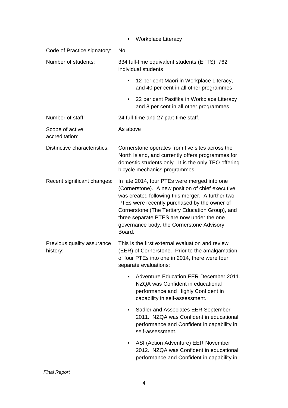|                                        | <b>Workplace Literacy</b>                                                                                                                                                                                                                                                                                                                                   |  |  |  |
|----------------------------------------|-------------------------------------------------------------------------------------------------------------------------------------------------------------------------------------------------------------------------------------------------------------------------------------------------------------------------------------------------------------|--|--|--|
| Code of Practice signatory:            | No                                                                                                                                                                                                                                                                                                                                                          |  |  |  |
| Number of students:                    | 334 full-time equivalent students (EFTS), 762<br>individual students                                                                                                                                                                                                                                                                                        |  |  |  |
|                                        | 12 per cent Māori in Workplace Literacy,<br>and 40 per cent in all other programmes                                                                                                                                                                                                                                                                         |  |  |  |
|                                        | 22 per cent Pasifika in Workplace Literacy<br>and 8 per cent in all other programmes                                                                                                                                                                                                                                                                        |  |  |  |
| Number of staff:                       | 24 full-time and 27 part-time staff.                                                                                                                                                                                                                                                                                                                        |  |  |  |
| Scope of active<br>accreditation:      | As above                                                                                                                                                                                                                                                                                                                                                    |  |  |  |
| Distinctive characteristics:           | Cornerstone operates from five sites across the<br>North Island, and currently offers programmes for<br>domestic students only. It is the only TEO offering<br>bicycle mechanics programmes.                                                                                                                                                                |  |  |  |
| Recent significant changes:            | In late 2014, four PTEs were merged into one<br>(Cornerstone). A new position of chief executive<br>was created following this merger. A further two<br>PTEs were recently purchased by the owner of<br>Cornerstone (The Tertiary Education Group), and<br>three separate PTES are now under the one<br>governance body, the Cornerstone Advisory<br>Board. |  |  |  |
| Previous quality assurance<br>history: | This is the first external evaluation and review<br>(EER) of Cornerstone. Prior to the amalgamation<br>of four PTEs into one in 2014, there were four<br>separate evaluations:                                                                                                                                                                              |  |  |  |
|                                        | Adventure Education EER December 2011.<br>NZQA was Confident in educational<br>performance and Highly Confident in<br>capability in self-assessment.                                                                                                                                                                                                        |  |  |  |
|                                        | Sadler and Associates EER September<br>2011. NZQA was Confident in educational<br>performance and Confident in capability in<br>self-assessment.                                                                                                                                                                                                            |  |  |  |
|                                        | ASI (Action Adventure) EER November<br>$\bullet$<br>2012. NZQA was Confident in educational<br>performance and Confident in capability in                                                                                                                                                                                                                   |  |  |  |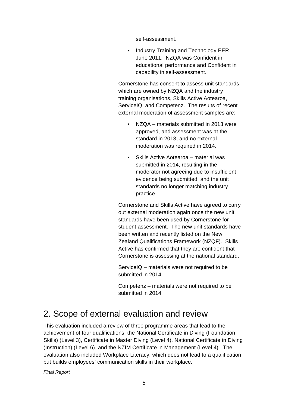self-assessment.

• Industry Training and Technology EER June 2011. NZQA was Confident in educational performance and Confident in capability in self-assessment.

Cornerstone has consent to assess unit standards which are owned by NZQA and the industry training organisations, Skills Active Aotearoa, ServiceIQ, and Competenz. The results of recent external moderation of assessment samples are:

- NZQA materials submitted in 2013 were approved, and assessment was at the standard in 2013, and no external moderation was required in 2014.
- Skills Active Aotearoa material was submitted in 2014, resulting in the moderator not agreeing due to insufficient evidence being submitted, and the unit standards no longer matching industry practice.

Cornerstone and Skills Active have agreed to carry out external moderation again once the new unit standards have been used by Cornerstone for student assessment. The new unit standards have been written and recently listed on the New Zealand Qualifications Framework (NZQF). Skills Active has confirmed that they are confident that Cornerstone is assessing at the national standard.

ServiceIQ – materials were not required to be submitted in 2014.

Competenz – materials were not required to be submitted in 2014.

### 2. Scope of external evaluation and review

This evaluation included a review of three programme areas that lead to the achievement of four qualifications: the National Certificate in Diving (Foundation Skills) (Level 3), Certificate in Master Diving (Level 4), National Certificate in Diving (Instruction) (Level 6), and the NZIM Certificate in Management (Level 4). The evaluation also included Workplace Literacy, which does not lead to a qualification but builds employees' communication skills in their workplace.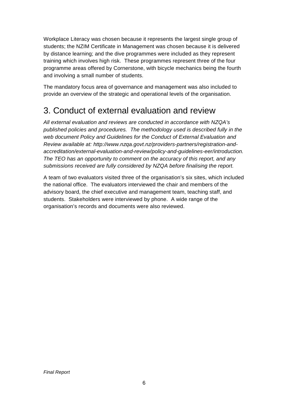Workplace Literacy was chosen because it represents the largest single group of students; the NZIM Certificate in Management was chosen because it is delivered by distance learning; and the dive programmes were included as they represent training which involves high risk. These programmes represent three of the four programme areas offered by Cornerstone, with bicycle mechanics being the fourth and involving a small number of students.

The mandatory focus area of governance and management was also included to provide an overview of the strategic and operational levels of the organisation.

### 3. Conduct of external evaluation and review

All external evaluation and reviews are conducted in accordance with NZQA's published policies and procedures. The methodology used is described fully in the web document Policy and Guidelines for the Conduct of External Evaluation and Review available at: http://www.nzqa.govt.nz/providers-partners/registration-andaccreditation/external-evaluation-and-review/policy-and-guidelines-eer/introduction. The TEO has an opportunity to comment on the accuracy of this report, and any submissions received are fully considered by NZQA before finalising the report.

A team of two evaluators visited three of the organisation's six sites, which included the national office. The evaluators interviewed the chair and members of the advisory board, the chief executive and management team, teaching staff, and students. Stakeholders were interviewed by phone. A wide range of the organisation's records and documents were also reviewed.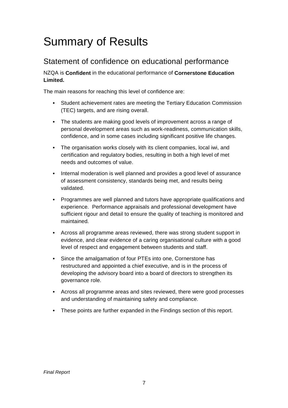## Summary of Results

### Statement of confidence on educational performance

NZQA is **Confident** in the educational performance of **Cornerstone Education Limited.** 

The main reasons for reaching this level of confidence are:

- Student achievement rates are meeting the Tertiary Education Commission (TEC) targets, and are rising overall.
- The students are making good levels of improvement across a range of personal development areas such as work-readiness, communication skills, confidence, and in some cases including significant positive life changes.
- The organisation works closely with its client companies, local iwi, and certification and regulatory bodies, resulting in both a high level of met needs and outcomes of value.
- Internal moderation is well planned and provides a good level of assurance of assessment consistency, standards being met, and results being validated.
- Programmes are well planned and tutors have appropriate qualifications and experience. Performance appraisals and professional development have sufficient rigour and detail to ensure the quality of teaching is monitored and maintained.
- Across all programme areas reviewed, there was strong student support in evidence, and clear evidence of a caring organisational culture with a good level of respect and engagement between students and staff.
- Since the amalgamation of four PTEs into one, Cornerstone has restructured and appointed a chief executive, and is in the process of developing the advisory board into a board of directors to strengthen its governance role.
- Across all programme areas and sites reviewed, there were good processes and understanding of maintaining safety and compliance.
- These points are further expanded in the Findings section of this report.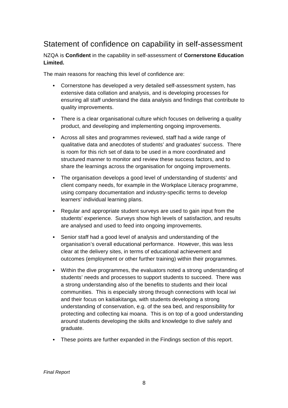### Statement of confidence on capability in self-assessment

NZQA is **Confident** in the capability in self-assessment of **Cornerstone Education Limited.** 

The main reasons for reaching this level of confidence are:

- Cornerstone has developed a very detailed self-assessment system, has extensive data collation and analysis, and is developing processes for ensuring all staff understand the data analysis and findings that contribute to quality improvements.
- There is a clear organisational culture which focuses on delivering a quality product, and developing and implementing ongoing improvements.
- Across all sites and programmes reviewed, staff had a wide range of qualitative data and anecdotes of students' and graduates' success. There is room for this rich set of data to be used in a more coordinated and structured manner to monitor and review these success factors, and to share the learnings across the organisation for ongoing improvements.
- The organisation develops a good level of understanding of students' and client company needs, for example in the Workplace Literacy programme, using company documentation and industry-specific terms to develop learners' individual learning plans.
- Regular and appropriate student surveys are used to gain input from the students' experience. Surveys show high levels of satisfaction, and results are analysed and used to feed into ongoing improvements.
- Senior staff had a good level of analysis and understanding of the organisation's overall educational performance. However, this was less clear at the delivery sites, in terms of educational achievement and outcomes (employment or other further training) within their programmes.
- Within the dive programmes, the evaluators noted a strong understanding of students' needs and processes to support students to succeed. There was a strong understanding also of the benefits to students and their local communities. This is especially strong through connections with local iwi and their focus on kaitiakitanga, with students developing a strong understanding of conservation, e.g. of the sea bed, and responsibility for protecting and collecting kai moana. This is on top of a good understanding around students developing the skills and knowledge to dive safely and graduate.
- These points are further expanded in the Findings section of this report.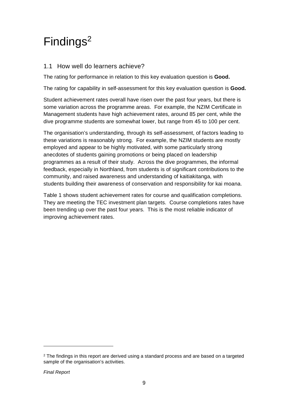## Findings<sup>2</sup>

#### 1.1 How well do learners achieve?

The rating for performance in relation to this key evaluation question is **Good.** 

The rating for capability in self-assessment for this key evaluation question is **Good.**

Student achievement rates overall have risen over the past four years, but there is some variation across the programme areas. For example, the NZIM Certificate in Management students have high achievement rates, around 85 per cent, while the dive programme students are somewhat lower, but range from 45 to 100 per cent.

The organisation's understanding, through its self-assessment, of factors leading to these variations is reasonably strong. For example, the NZIM students are mostly employed and appear to be highly motivated, with some particularly strong anecdotes of students gaining promotions or being placed on leadership programmes as a result of their study. Across the dive programmes, the informal feedback, especially in Northland, from students is of significant contributions to the community, and raised awareness and understanding of kaitiakitanga, with students building their awareness of conservation and responsibility for kai moana.

Table 1 shows student achievement rates for course and qualification completions. They are meeting the TEC investment plan targets. Course completions rates have been trending up over the past four years. This is the most reliable indicator of improving achievement rates.

 $2$  The findings in this report are derived using a standard process and are based on a targeted sample of the organisation's activities.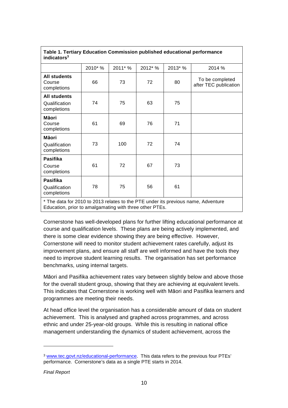| indicators <sup>3</sup>                                                           |         |         |         |         |                                          |  |  |  |
|-----------------------------------------------------------------------------------|---------|---------|---------|---------|------------------------------------------|--|--|--|
|                                                                                   | 2010* % | 2011* % | 2012* % | 2013* % | 2014 %                                   |  |  |  |
| <b>All students</b><br>Course<br>completions                                      | 66      | 73      | 72      | 80      | To be completed<br>after TEC publication |  |  |  |
| <b>All students</b><br>Qualification<br>completions                               | 74      | 75      | 63      | 75      |                                          |  |  |  |
| <b>Māori</b><br>Course<br>completions                                             | 61      | 69      | 76      | 71      |                                          |  |  |  |
| Māori<br>Qualification<br>completions                                             | 73      | 100     | 72      | 74      |                                          |  |  |  |
| <b>Pasifika</b><br>Course<br>completions                                          | 61      | 72      | 67      | 73      |                                          |  |  |  |
| <b>Pasifika</b><br>Qualification<br>completions                                   | 78      | 75      | 56      | 61      |                                          |  |  |  |
| * The data for 2010 to 2013 relates to the PTE under its previous name, Adventure |         |         |         |         |                                          |  |  |  |

**Table 1. Tertiary Education Commission published educational performance** 

\* The data for 2010 to 2013 relates to the PTE under its previous name, Adventure Education, prior to amalgamating with three other PTEs.

Cornerstone has well-developed plans for further lifting educational performance at course and qualification levels. These plans are being actively implemented, and there is some clear evidence showing they are being effective. However, Cornerstone will need to monitor student achievement rates carefully, adjust its improvement plans, and ensure all staff are well informed and have the tools they need to improve student learning results. The organisation has set performance benchmarks, using internal targets.

Māori and Pasifika achievement rates vary between slightly below and above those for the overall student group, showing that they are achieving at equivalent levels. This indicates that Cornerstone is working well with Māori and Pasifika learners and programmes are meeting their needs.

At head office level the organisation has a considerable amount of data on student achievement. This is analysed and graphed across programmes, and across ethnic and under 25-year-old groups. While this is resulting in national office management understanding the dynamics of student achievement, across the

Final Report

<sup>3</sup> www.tec.govt.nz/educational-performance. This data refers to the previous four PTEs' performance. Cornerstone's data as a single PTE starts in 2014.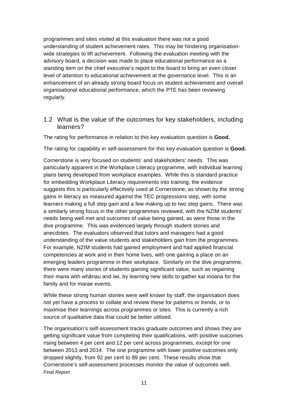programmes and sites visited at this evaluation there was not a good understanding of student achievement rates. This may be hindering organisationwide strategies to lift achievement. Following the evaluation meeting with the advisory board, a decision was made to place educational performance as a standing item on the chief executive's report to the board to bring an even closer level of attention to educational achievement at the governance level. This is an enhancement of an already strong board focus on student achievement and overall organisational educational performance, which the PTE has been reviewing regularly.

1.2 What is the value of the outcomes for key stakeholders, including learners?

The rating for performance in relation to this key evaluation question is **Good.**

The rating for capability in self-assessment for this key evaluation question is **Good.**

Cornerstone is very focused on students' and stakeholders' needs. This was particularly apparent in the Workplace Literacy programme, with individual learning plans being developed from workplace examples. While this is standard practice for embedding Workplace Literacy requirements into training, the evidence suggests this is particularly effectively used at Cornerstone, as shown by the strong gains in literacy as measured against the TEC progressions step, with some learners making a full step gain and a few making up to two step gains. There was a similarly strong focus in the other programmes reviewed, with the NZIM students' needs being well met and outcomes of value being gained, as were those in the dive programme. This was evidenced largely through student stories and anecdotes. The evaluators observed that tutors and managers had a good understanding of the value students and stakeholders gain from the programmes. For example, NZIM students had gained employment and had applied financial competencies at work and in their home lives, with one gaining a place on an emerging leaders programme in their workplace. Similarly on the dive programme, there were many stories of students gaining significant value, such as regaining their mana with whānau and iwi, by learning new skills to gather kai moana for the family and for marae events.

While these strong human stories were well known by staff, the organisation does not yet have a process to collate and review these for patterns or trends, or to maximise their learnings across programmes or sites. This is currently a rich source of qualitative data that could be better utilised.

Final Report The organisation's self-assessment tracks graduate outcomes and shows they are getting significant value from completing their qualifications, with positive outcomes rising between 4 per cent and 12 per cent across programmes, except for one between 2013 and 2014. The one programme with lower positive outcomes only dropped slightly, from 92 per cent to 89 per cent. These results show that Cornerstone's self-assessment processes monitor the value of outcomes well.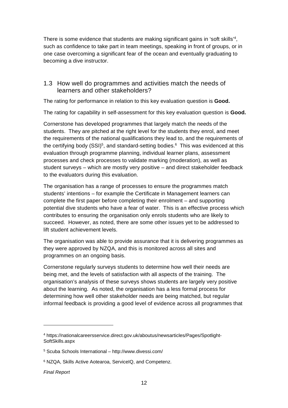There is some evidence that students are making significant gains in 'soft skills'<sup>4</sup>, such as confidence to take part in team meetings, speaking in front of groups, or in one case overcoming a significant fear of the ocean and eventually graduating to becoming a dive instructor.

#### 1.3 How well do programmes and activities match the needs of learners and other stakeholders?

The rating for performance in relation to this key evaluation question is **Good.**

The rating for capability in self-assessment for this key evaluation question is **Good.**

Cornerstone has developed programmes that largely match the needs of the students. They are pitched at the right level for the students they enrol, and meet the requirements of the national qualifications they lead to, and the requirements of the certifying body (SSI)<sup>5</sup>, and standard-setting bodies.<sup>6</sup> This was evidenced at this evaluation through programme planning, individual learner plans, assessment processes and check processes to validate marking (moderation), as well as student surveys – which are mostly very positive – and direct stakeholder feedback to the evaluators during this evaluation.

The organisation has a range of processes to ensure the programmes match students' intentions – for example the Certificate in Management learners can complete the first paper before completing their enrolment – and supporting potential dive students who have a fear of water. This is an effective process which contributes to ensuring the organisation only enrols students who are likely to succeed. However, as noted, there are some other issues yet to be addressed to lift student achievement levels.

The organisation was able to provide assurance that it is delivering programmes as they were approved by NZQA, and this is monitored across all sites and programmes on an ongoing basis.

Cornerstone regularly surveys students to determine how well their needs are being met, and the levels of satisfaction with all aspects of the training. The organisation's analysis of these surveys shows students are largely very positive about the learning. As noted, the organisation has a less formal process for determining how well other stakeholder needs are being matched, but regular informal feedback is providing a good level of evidence across all programmes that

 $\overline{a}$ 

<sup>4</sup> https://nationalcareersservice.direct.gov.uk/aboutus/newsarticles/Pages/Spotlight-SoftSkills.aspx

<sup>5</sup> Scuba Schools International – http://www.divessi.com/

<sup>6</sup> NZQA, Skills Active Aotearoa, ServiceIQ, and Competenz.

Final Report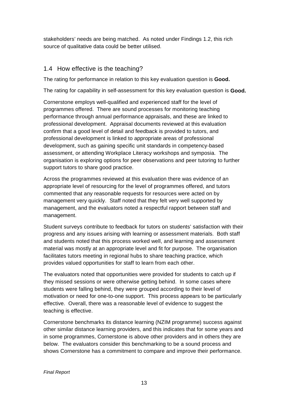stakeholders' needs are being matched. As noted under Findings 1.2, this rich source of qualitative data could be better utilised.

#### 1.4 How effective is the teaching?

The rating for performance in relation to this key evaluation question is **Good.**

The rating for capability in self-assessment for this key evaluation question is **Good.**

Cornerstone employs well-qualified and experienced staff for the level of programmes offered. There are sound processes for monitoring teaching performance through annual performance appraisals, and these are linked to professional development. Appraisal documents reviewed at this evaluation confirm that a good level of detail and feedback is provided to tutors, and professional development is linked to appropriate areas of professional development, such as gaining specific unit standards in competency-based assessment, or attending Workplace Literacy workshops and symposia. The organisation is exploring options for peer observations and peer tutoring to further support tutors to share good practice.

Across the programmes reviewed at this evaluation there was evidence of an appropriate level of resourcing for the level of programmes offered, and tutors commented that any reasonable requests for resources were acted on by management very quickly. Staff noted that they felt very well supported by management, and the evaluators noted a respectful rapport between staff and management.

Student surveys contribute to feedback for tutors on students' satisfaction with their progress and any issues arising with learning or assessment materials. Both staff and students noted that this process worked well, and learning and assessment material was mostly at an appropriate level and fit for purpose. The organisation facilitates tutors meeting in regional hubs to share teaching practice, which provides valued opportunities for staff to learn from each other.

The evaluators noted that opportunities were provided for students to catch up if they missed sessions or were otherwise getting behind. In some cases where students were falling behind, they were grouped according to their level of motivation or need for one-to-one support. This process appears to be particularly effective. Overall, there was a reasonable level of evidence to suggest the teaching is effective.

Cornerstone benchmarks its distance learning (NZIM programme) success against other similar distance learning providers, and this indicates that for some years and in some programmes, Cornerstone is above other providers and in others they are below. The evaluators consider this benchmarking to be a sound process and shows Cornerstone has a commitment to compare and improve their performance.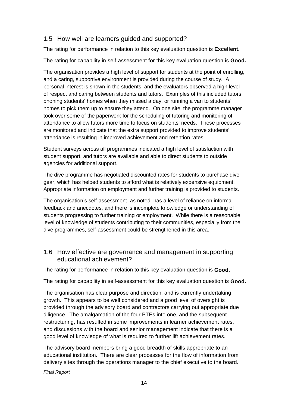#### 1.5 How well are learners guided and supported?

The rating for performance in relation to this key evaluation question is **Excellent.**

The rating for capability in self-assessment for this key evaluation question is **Good.**

The organisation provides a high level of support for students at the point of enrolling, and a caring, supportive environment is provided during the course of study. A personal interest is shown in the students, and the evaluators observed a high level of respect and caring between students and tutors. Examples of this included tutors phoning students' homes when they missed a day, or running a van to students' homes to pick them up to ensure they attend. On one site, the programme manager took over some of the paperwork for the scheduling of tutoring and monitoring of attendance to allow tutors more time to focus on students' needs. These processes are monitored and indicate that the extra support provided to improve students' attendance is resulting in improved achievement and retention rates.

Student surveys across all programmes indicated a high level of satisfaction with student support, and tutors are available and able to direct students to outside agencies for additional support.

The dive programme has negotiated discounted rates for students to purchase dive gear, which has helped students to afford what is relatively expensive equipment. Appropriate information on employment and further training is provided to students.

The organisation's self-assessment, as noted, has a level of reliance on informal feedback and anecdotes, and there is incomplete knowledge or understanding of students progressing to further training or employment. While there is a reasonable level of knowledge of students contributing to their communities, especially from the dive programmes, self-assessment could be strengthened in this area.

#### 1.6 How effective are governance and management in supporting educational achievement?

The rating for performance in relation to this key evaluation question is **Good.**

The rating for capability in self-assessment for this key evaluation question is **Good.**

The organisation has clear purpose and direction, and is currently undertaking growth. This appears to be well considered and a good level of oversight is provided through the advisory board and contractors carrying out appropriate due diligence. The amalgamation of the four PTEs into one, and the subsequent restructuring, has resulted in some improvements in learner achievement rates, and discussions with the board and senior management indicate that there is a good level of knowledge of what is required to further lift achievement rates.

The advisory board members bring a good breadth of skills appropriate to an educational institution. There are clear processes for the flow of information from delivery sites through the operations manager to the chief executive to the board.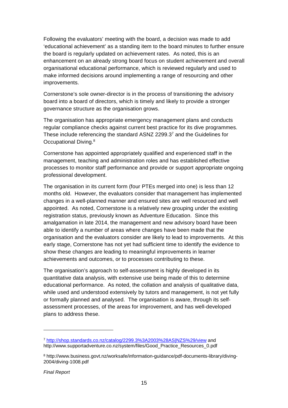Following the evaluators' meeting with the board, a decision was made to add 'educational achievement' as a standing item to the board minutes to further ensure the board is regularly updated on achievement rates. As noted, this is an enhancement on an already strong board focus on student achievement and overall organisational educational performance, which is reviewed regularly and used to make informed decisions around implementing a range of resourcing and other improvements.

Cornerstone's sole owner-director is in the process of transitioning the advisory board into a board of directors, which is timely and likely to provide a stronger governance structure as the organisation grows.

The organisation has appropriate emergency management plans and conducts regular compliance checks against current best practice for its dive programmes. These include referencing the standard ASNZ 2299.37 and the Guidelines for Occupational Diving.<sup>8</sup>

Cornerstone has appointed appropriately qualified and experienced staff in the management, teaching and administration roles and has established effective processes to monitor staff performance and provide or support appropriate ongoing professional development.

The organisation in its current form (four PTEs merged into one) is less than 12 months old. However, the evaluators consider that management has implemented changes in a well-planned manner and ensured sites are well resourced and well appointed. As noted, Cornerstone is a relatively new grouping under the existing registration status, previously known as Adventure Education. Since this amalgamation in late 2014, the management and new advisory board have been able to identify a number of areas where changes have been made that the organisation and the evaluators consider are likely to lead to improvements. At this early stage, Cornerstone has not yet had sufficient time to identify the evidence to show these changes are leading to meaningful improvements in learner achievements and outcomes, or to processes contributing to these.

The organisation's approach to self-assessment is highly developed in its quantitative data analysis, with extensive use being made of this to determine educational performance. As noted, the collation and analysis of qualitative data, while used and understood extensively by tutors and management, is not yet fully or formally planned and analysed. The organisation is aware, through its selfassessment processes, of the areas for improvement, and has well-developed plans to address these.

<sup>7</sup> http://shop.standards.co.nz/catalog/2299.3%3A2003%28AS|NZS%29/view and http://www.supportadventure.co.nz/system/files/Good\_Practice\_Resources\_0.pdf

<sup>8</sup> http://www.business.govt.nz/worksafe/information-guidance/pdf-documents-library/diving-2004/diving-1008.pdf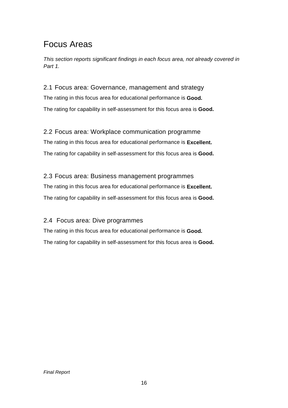### Focus Areas

This section reports significant findings in each focus area, not already covered in Part 1.

2.1 Focus area: Governance, management and strategy The rating in this focus area for educational performance is **Good.** The rating for capability in self-assessment for this focus area is **Good.** 

2.2 Focus area: Workplace communication programme The rating in this focus area for educational performance is **Excellent.** The rating for capability in self-assessment for this focus area is **Good.** 

2.3 Focus area: Business management programmes The rating in this focus area for educational performance is **Excellent.**  The rating for capability in self-assessment for this focus area is **Good.** 

#### 2.4 Focus area: Dive programmes

The rating in this focus area for educational performance is **Good.**  The rating for capability in self-assessment for this focus area is **Good.**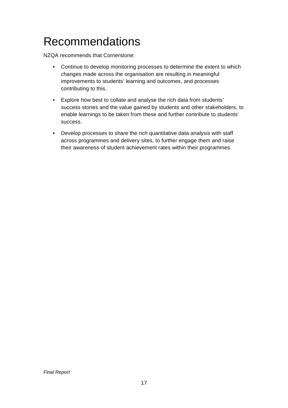## Recommendations

NZQA recommends that Cornerstone:

- Continue to develop monitoring processes to determine the extent to which changes made across the organisation are resulting in meaningful improvements to students' learning and outcomes, and processes contributing to this.
- Explore how best to collate and analyse the rich data from students' success stories and the value gained by students and other stakeholders, to enable learnings to be taken from these and further contribute to students' success.
- Develop processes to share the rich quantitative data analysis with staff across programmes and delivery sites, to further engage them and raise their awareness of student achievement rates within their programmes.